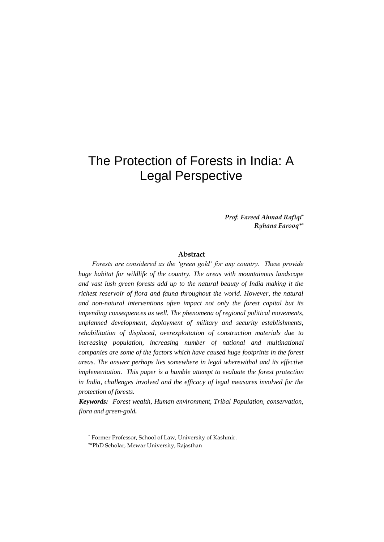# The Protection of Forests in India: A Legal Perspective

*Prof. Fareed Ahmad Rafiqi\* Ryhana Farooq\* \**

### **Abstract**

*Forests are considered as the 'green gold' for any country. These provide huge habitat for wildlife of the country. The areas with mountainous landscape and vast lush green forests add up to the natural beauty of India making it the richest reservoir of flora and fauna throughout the world. However, the natural and non-natural interventions often impact not only the forest capital but its impending consequences as well. The phenomena of regional political movements, unplanned development, deployment of military and security establishments, rehabilitation of displaced, overexploitation of construction materials due to increasing population, increasing number of national and multinational companies are some of the factors which have caused huge footprints in the forest areas. The answer perhaps lies somewhere in legal wherewithal and its effective implementation. This paper is a humble attempt to evaluate the forest protection*  in India, challenges involved and the efficacy of legal measures involved for the *protection of forests.* 

*Keywords: Forest wealth, Human environment, Tribal Population, conservation, flora and green-gold.*

<sup>\*</sup> Former Professor, School of Law, University of Kashmir.

<sup>\*</sup>\*PhD Scholar, Mewar University, Rajasthan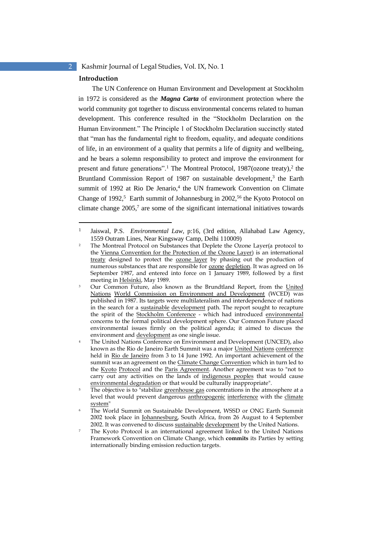#### **Introduction**

The UN Conference on Human Environment and Development at Stockholm in 1972 is considered as the *Magna Carta* of environment protection where the world community got together to discuss environmental concerns related to human development. This conference resulted in the "Stockholm Declaration on the Human Environment." The Principle 1 of Stockholm Declaration succinctly stated that "man has the fundamental right to freedom, equality, and adequate conditions of life, in an environment of a quality that permits a life of dignity and wellbeing, and he bears a solemn responsibility to protect and improve the environment for present and future generations".<sup>1</sup> The Montreal Protocol, 1987(ozone treaty),<sup>2</sup> the Bruntland Commission Report of 1987 on sustainable development,<sup>3</sup> the Earth summit of 1992 at Rio De Jenario,<sup>4</sup> the UN framework Convention on Climate Change of 1992,<sup>5</sup> Earth summit of Johannesburg in 2002,<sup>56</sup> the Kyoto Protocol on climate change  $2005$ ,<sup>7</sup> are some of the significant international initiatives towards

<sup>1</sup> Jaiswal, P.S. *Environmental Law*, p:16, (3rd edition, Allahabad Law Agency, 1559 Outram Lines, Near Kingsway Camp, Delhi 110009)

<sup>2</sup> The Montreal Protocol on Substances that Deplete the Ozone Layer(a protocol to the Vienna Convention for the Protection of the Ozone Layer) is an international treaty designed to protect the **ozone layer** by phasing out the production of numerous substances that are responsible for ozone depletion. It was agreed on 16 September 1987, and entered into force on 1 January 1989, followed by a first meeting in Helsinki, May 1989.

<sup>3</sup> Our Common Future, also known as the Brundtland Report, from the United Nations World Commission on Environment and Development (WCED) was published in 1987. Its targets were multilateralism and interdependence of nations in the search for a sustainable development path. The report sought to recapture the spirit of the Stockholm Conference - which had introduced environmental concerns to the formal political development sphere. Our Common Future placed environmental issues firmly on the political agenda; it aimed to discuss the environment and development as one single issue.

The United Nations Conference on Environment and Development (UNCED), also known as the Rio de Janeiro Earth Summit was a major United Nations conference held in Rio de Janeiro from 3 to 14 June 1992. An important achievement of the summit was an agreement on the Climate Change Convention which in turn led to the Kyoto Protocol and the Paris Agreement. Another agreement was to "not to carry out any activities on the lands of indigenous peoples that would cause environmental degradation or that would be culturally inappropriate".

<sup>&</sup>lt;sup>5</sup> The objective is to "stabilize greenhouse gas concentrations in the atmosphere at a level that would prevent dangerous anthropogenic interference with the climate system"

<sup>6</sup> The World Summit on Sustainable Development, WSSD or ONG Earth Summit 2002 took place in Johannesburg, South Africa, from 26 August to 4 September 2002. It was convened to discuss sustainable development by the United Nations.

<sup>7</sup> The Kyoto Protocol is an international agreement linked to the United Nations Framework Convention on Climate Change, which **commits** its Parties by setting internationally binding emission reduction targets.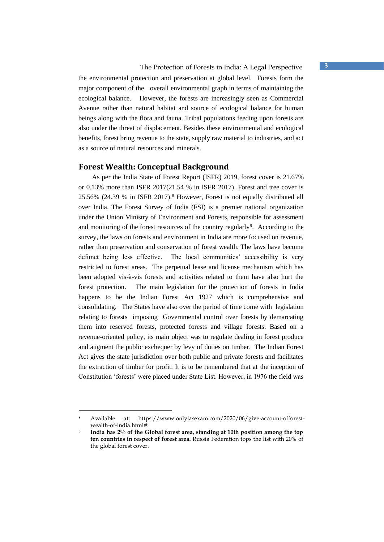the environmental protection and preservation at global level. Forests form the major component of the overall environmental graph in terms of maintaining the ecological balance. However, the forests are increasingly seen as Commercial Avenue rather than natural habitat and source of ecological balance for human beings along with the flora and fauna. Tribal populations feeding upon forests are also under the threat of displacement. Besides these environmental and ecological benefits, forest bring revenue to the state, supply raw material to industries, and act as a source of natural resources and minerals.

# **Forest Wealth: Conceptual Background**

As per the India State of Forest Report (ISFR) 2019, forest cover is 21.67% or 0.13% more than ISFR 2017(21.54 % in ISFR 2017). Forest and tree cover is  $25.56\%$  (24.39 % in ISFR 2017).<sup>8</sup> However, Forest is not equally distributed all over India. The Forest Survey of India (FSI) is a premier national organization under the Union Ministry of Environment and Forests, responsible for assessment and monitoring of the forest resources of the country regularly<sup>9</sup>. According to the survey, the laws on forests and environment in India are more focused on revenue, rather than preservation and conservation of forest wealth. The laws have become defunct being less effective. The local communities' accessibility is very restricted to forest areas. The perpetual lease and license mechanism which has been adopted vis-à-vis forests and activities related to them have also hurt the forest protection. The main legislation for the protection of forests in India happens to be the Indian Forest Act 1927 which is comprehensive and consolidating. The States have also over the period of time come with legislation relating to forests imposing Governmental control over forests by demarcating them into reserved forests, protected forests and village forests. Based on a revenue-oriented policy, its main object was to regulate dealing in forest produce and augment the public exchequer by levy of duties on timber. The Indian Forest Act gives the state jurisdiction over both public and private forests and facilitates the extraction of timber for profit. It is to be remembered that at the inception of Constitution 'forests' were placed under State List. However, in 1976 the field was

<sup>8</sup> Available at: https://www.onlyiasexam.com/2020/06/give-account-offorestwealth-of-india.html#:

<sup>9</sup> **India has 2% of the Global forest area, standing at 10th position among the top ten countries in respect of forest area.** Russia Federation tops the list with 20% of the global forest cover.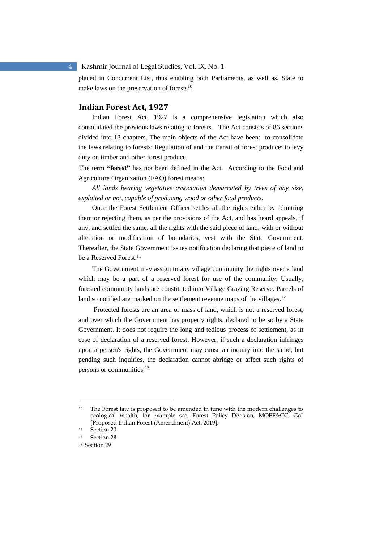placed in Concurrent List, thus enabling both Parliaments, as well as, State to make laws on the preservation of forests $10$ .

# **Indian Forest Act, 1927**

Indian Forest Act, 1927 is a comprehensive legislation which also consolidated the previous laws relating to forests. The Act consists of 86 sections divided into 13 chapters. The main objects of the Act have been: to consolidate the laws relating to forests; Regulation of and the transit of forest produce; to levy duty on timber and other forest produce.

The term **"forest"** has not been defined in the Act. According to the Food and Agriculture Organization (FAO) forest means:

*All lands bearing vegetative association demarcated by trees of any size, exploited or not, capable of producing wood or other food products.*

Once the Forest Settlement Officer settles all the rights either by admitting them or rejecting them, as per the provisions of the Act, and has heard appeals, if any, and settled the same, all the rights with the said piece of land, with or without alteration or modification of boundaries, vest with the State Government. Thereafter, the State Government issues notification declaring that piece of land to be a Reserved Forest.<sup>11</sup>

The Government may assign to any village community the rights over a land which may be a part of a reserved forest for use of the community. Usually, forested community lands are constituted into Village Grazing Reserve. Parcels of land so notified are marked on the settlement revenue maps of the villages.<sup>12</sup>

Protected forests are an area or mass of land, which is not a reserved forest, and over which the Government has property rights, declared to be so by a State Government. It does not require the long and tedious process of settlement, as in case of declaration of a reserved forest. However, if such a declaration infringes upon a person's rights, the Government may cause an inquiry into the same; but pending such inquiries, the declaration cannot abridge or affect such rights of persons or communities.<sup>13</sup>

<sup>10</sup> The Forest law is proposed to be amended in tune with the modern challenges to ecological wealth, for example see, Forest Policy Division, MOEF&CC, GoI [Proposed Indian Forest (Amendment) Act, 2019].

<sup>11</sup> Section 20

<sup>12</sup> Section 28

<sup>13</sup> Section 29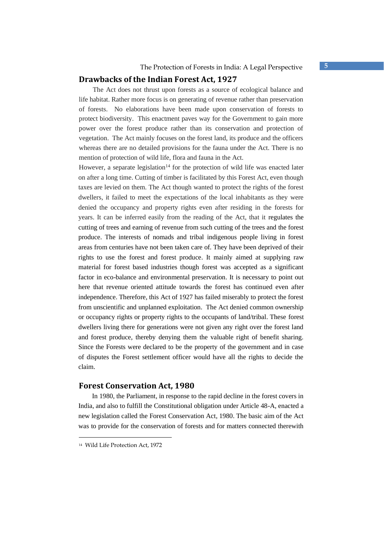# **Drawbacks of the Indian Forest Act, 1927**

The Act does not thrust upon forests as a source of ecological balance and life habitat. Rather more focus is on generating of revenue rather than preservation of forests. No elaborations have been made upon conservation of forests to protect biodiversity. This enactment paves way for the Government to gain more power over the forest produce rather than its conservation and protection of vegetation. The Act mainly focuses on the forest land, its produce and the officers whereas there are no detailed provisions for the fauna under the Act. There is no mention of protection of wild life, flora and fauna in the Act.

However, a separate legislation<sup>14</sup> for the protection of wild life was enacted later on after a long time. Cutting of timber is facilitated by this Forest Act, even though taxes are levied on them. The Act though wanted to protect the rights of the forest dwellers, it failed to meet the expectations of the local inhabitants as they were denied the occupancy and property rights even after residing in the forests for years. It can be inferred easily from the reading of the Act, that it regulates the cutting of trees and earning of revenue from such cutting of the trees and the forest produce. The interests of nomads and tribal indigenous people living in forest areas from centuries have not been taken care of. They have been deprived of their rights to use the forest and forest produce. It mainly aimed at supplying raw material for forest based industries though forest was accepted as a significant factor in eco-balance and environmental preservation. It is necessary to point out here that revenue oriented attitude towards the forest has continued even after independence. Therefore, this Act of 1927 has failed miserably to protect the forest from unscientific and unplanned exploitation. The Act denied common ownership or occupancy rights or property rights to the occupants of land/tribal. These forest dwellers living there for generations were not given any right over the forest land and forest produce, thereby denying them the valuable right of benefit sharing. Since the Forests were declared to be the property of the government and in case of disputes the Forest settlement officer would have all the rights to decide the claim.

# **Forest Conservation Act, 1980**

In 1980, the Parliament, in response to the rapid decline in the forest covers in India, and also to fulfill the Constitutional obligation under Article 48-A, enacted a new legislation called the Forest Conservation Act, 1980. The basic aim of the Act was to provide for the conservation of forests and for matters connected therewith

<sup>14</sup> Wild Life Protection Act, 1972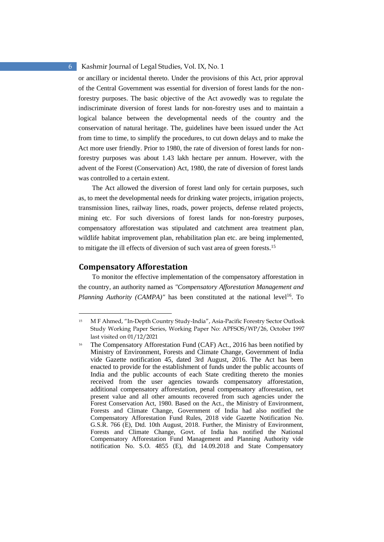or ancillary or incidental thereto. Under the provisions of this Act, prior approval of the Central Government was essential for diversion of forest lands for the nonforestry purposes. The basic objective of the Act avowedly was to regulate the indiscriminate diversion of forest lands for non-forestry uses and to maintain a logical balance between the developmental needs of the country and the conservation of natural heritage. The, guidelines have been issued under the Act from time to time, to simplify the procedures, to cut down delays and to make the Act more user friendly. Prior to 1980, the rate of diversion of forest lands for nonforestry purposes was about 1.43 lakh hectare per annum. However, with the advent of the Forest (Conservation) Act, 1980, the rate of diversion of forest lands was controlled to a certain extent.

The Act allowed the diversion of forest land only for certain purposes, such as, to meet the developmental needs for drinking water projects, irrigation projects, transmission lines, railway lines, roads, power projects, defense related projects, mining etc. For such diversions of forest lands for non-forestry purposes, compensatory afforestation was stipulated and catchment area treatment plan, wildlife habitat improvement plan, rehabilitation plan etc. are being implemented, to mitigate the ill effects of diversion of such vast area of green forests.<sup>15</sup>

# **Compensatory Afforestation**

To monitor the effective implementation of the compensatory afforestation in the country, an authority named as *"Compensatory Afforestation Management and Planning Authority (CAMPA)*" has been constituted at the national level<sup>16</sup>. To

<sup>15</sup> M F Ahmed, "In-Depth Country Study-India", Asia-Pacific Forestry Sector Outlook Study Working Paper Series, Working Paper No: APFSOS/WP/26, October 1997 last visited on 01/12/2021

<sup>16</sup> The Compensatory Afforestation Fund (CAF) Act., 2016 has been notified by Ministry of Environment, Forests and Climate Change, Government of India vide Gazette notification 45, dated 3rd August, 2016. The Act has been enacted to provide for the establishment of funds under the public accounts of India and the public accounts of each State crediting thereto the monies received from the user agencies towards compensatory afforestation, additional compensatory afforestation, penal compensatory afforestation, net present value and all other amounts recovered from such agencies under the Forest Conservation Act, 1980. Based on the Act., the Ministry of Environment, Forests and Climate Change, Government of India had also notified the Compensatory Afforestation Fund Rules, 2018 vide Gazette Notification No. G.S.R. 766 (E), Dtd. 10th August, 2018. Further, the Ministry of Environment, Forests and Climate Change, Govt. of India has notified the National Compensatory Afforestation Fund Management and Planning Authority vide notification No. S.O. 4855 (E), dtd 14.09.2018 and State Compensatory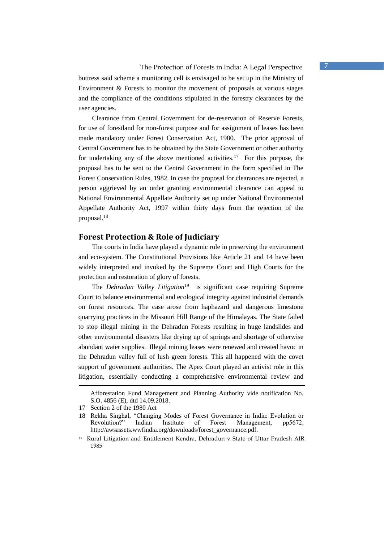# The Protection of Forests in India: A Legal Perspective **7**

buttress said scheme a monitoring cell is envisaged to be set up in the Ministry of Environment & Forests to monitor the movement of proposals at various stages and the compliance of the conditions stipulated in the forestry clearances by the user agencies.

Clearance from Central Government for de-reservation of Reserve Forests, for use of forestland for non-forest purpose and for assignment of leases has been made mandatory under Forest Conservation Act, 1980. The prior approval of Central Government has to be obtained by the State Government or other authority for undertaking any of the above mentioned activities.<sup>17</sup> For this purpose, the proposal has to be sent to the Central Government in the form specified in The Forest Conservation Rules, 1982. In case the proposal for clearances are rejected, a person aggrieved by an order granting environmental clearance can appeal to National Environmental Appellate Authority set up under National Environmental Appellate Authority Act, 1997 within thirty days from the rejection of the proposal.<sup>18</sup>

# **Forest Protection & Role of Judiciary**

The courts in India have played a dynamic role in preserving the environment and eco-system. The Constitutional Provisions like Article 21 and 14 have been widely interpreted and invoked by the Supreme Court and High Courts for the protection and restoration of glory of forests.

The *Dehradun Valley Litigation*<sup>19</sup> is significant case requiring Supreme Court to balance environmental and ecological integrity against industrial demands on forest resources. The case arose from haphazard and dangerous limestone quarrying practices in the Missouri Hill Range of the Himalayas. The State failed to stop illegal mining in the Dehradun Forests resulting in huge landslides and other environmental disasters like drying up of springs and shortage of otherwise abundant water supplies. Illegal mining leases were renewed and created havoc in the Dehradun valley full of lush green forests. This all happened with the covet support of government authorities. The Apex Court played an activist role in this litigation, essentially conducting a comprehensive environmental review and

Afforestation Fund Management and Planning Authority vide notification No. S.O. 4856 (E), dtd 14.09.2018.

<sup>17</sup> Section 2 of the 1980 Act

<sup>18</sup> Rekha Singhal, "Changing Modes of Forest Governance in India: Evolution or Revolution?" Indian Institute of Forest Management, pp5672, http://awsassets.wwfindia.org/downloads/forest\_governance.pdf.

<sup>19</sup> Rural Litigation and Entitlement Kendra, Dehradun v State of Uttar Pradesh AIR 1985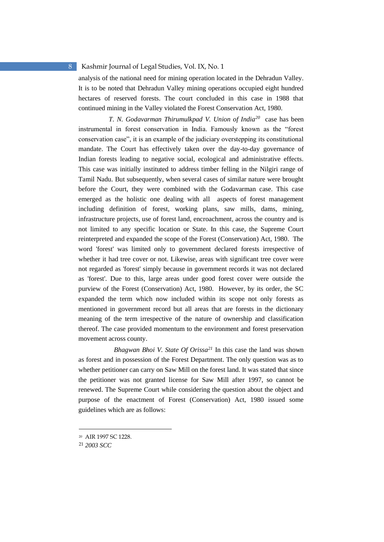analysis of the national need for mining operation located in the Dehradun Valley. It is to be noted that Dehradun Valley mining operations occupied eight hundred hectares of reserved forests. The court concluded in this case in 1988 that continued mining in the Valley violated the Forest Conservation Act, 1980.

 *T. N. Godavarman Thirumulkpad V. Union of India<sup>20</sup>* case has been instrumental in forest conservation in India. Famously known as the "forest conservation case", it is an example of the judiciary overstepping its constitutional mandate. The Court has effectively taken over the day-to-day governance of Indian forests leading to negative social, ecological and administrative effects. This case was initially instituted to address timber felling in the Nilgiri range of Tamil Nadu. But subsequently, when several cases of similar nature were brought before the Court, they were combined with the Godavarman case. This case emerged as the holistic one dealing with all aspects of forest management including definition of forest, working plans, saw mills, dams, mining, infrastructure projects, use of forest land, encroachment, across the country and is not limited to any specific location or State. In this case, the Supreme Court reinterpreted and expanded the scope of the Forest (Conservation) Act, 1980. The word 'forest' was limited only to government declared forests irrespective of whether it had tree cover or not. Likewise, areas with significant tree cover were not regarded as 'forest' simply because in government records it was not declared as 'forest'. Due to this, large areas under good forest cover were outside the purview of the Forest (Conservation) Act, 1980. However, by its order, the SC expanded the term which now included within its scope not only forests as mentioned in government record but all areas that are forests in the dictionary meaning of the term irrespective of the nature of ownership and classification thereof. The case provided momentum to the environment and forest preservation movement across county.

 *Bhagwan Bhoi V. State Of Orissa<sup>21</sup>* In this case the land was shown as forest and in possession of the Forest Department. The only question was as to whether petitioner can carry on Saw Mill on the forest land. It was stated that since the petitioner was not granted license for Saw Mill after 1997, so cannot be renewed. The Supreme Court while considering the question about the object and purpose of the enactment of Forest (Conservation) Act, 1980 issued some guidelines which are as follows:

<sup>20</sup> AIR 1997 SC 1228.

<sup>21</sup> *2003 SCC*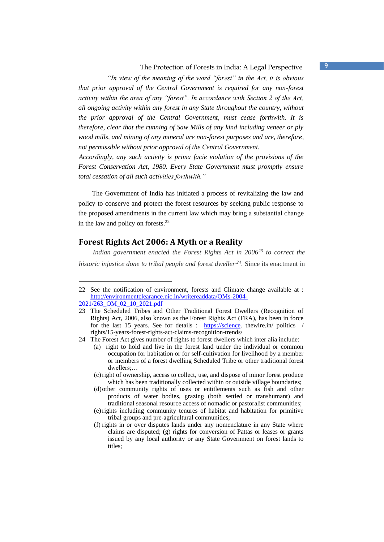The Protection of Forests in India: A Legal Perspective **9**

 *"In view of the meaning of the word "forest" in the Act, it is obvious that prior approval of the Central Government is required for any non-forest activity within the area of any "forest". In accordance with Section 2 of the Act, all ongoing activity within any forest in any State throughout the country, without the prior approval of the Central Government, must cease forthwith. It is therefore, clear that the running of Saw Mills of any kind including veneer or ply wood mills, and mining of any mineral are non-forest purposes and are, therefore, not permissible without prior approval of the Central Government.* 

*Accordingly, any such activity is prima facie violation of the provisions of the Forest Conservation Act, 1980. Every State Government must promptly ensure total cessation of all such activities forthwith."* 

The Government of India has initiated a process of revitalizing the law and policy to conserve and protect the forest resources by seeking public response to the proposed amendments in the current law which may bring a substantial change in the law and policy on forests.<sup>22</sup>

# **Forest Rights Act 2006: A Myth or a Reality**

*Indian government enacted the Forest Rights Act in 2006<sup>23</sup> to correct the historic injustice done to tribal people and forest dweller.24* . Since its enactment in

- (c)right of ownership, access to collect, use, and dispose of minor forest produce which has been traditionally collected within or outside village boundaries;
- (d)other community rights of uses or entitlements such as fish and other products of water bodies, grazing (both settled or transhumant) and traditional seasonal resource access of nomadic or pastoralist communities;
- (e)rights including community tenures of habitat and habitation for primitive tribal groups and pre-agricultural communities;

<sup>22</sup> See the notification of environment, forests and Climate change available at : http://environmentclearance.nic.in/writereaddata/OMs-2004-

<sup>2021/263</sup>\_OM\_02\_10\_2021.pdf

<sup>23</sup> The Scheduled Tribes and Other Traditional Forest Dwellers (Recognition of Rights) Act, 2006, also known as the Forest Rights Act (FRA), has been in force for the last 15 years. See for details : https://science. thewire.in/ politics / rights/15-years-forest-rights-act-claims-recognition-trends/

<sup>24</sup> The Forest Act gives number of rights to forest dwellers which inter alia include:

<sup>(</sup>a) right to hold and live in the forest land under the individual or common occupation for habitation or for self-cultivation for livelihood by a member or members of a forest dwelling Scheduled Tribe or other traditional forest dwellers;…

<sup>(</sup>f) rights in or over disputes lands under any nomenclature in any State where claims are disputed; (g) rights for conversion of Pattas or leases or grants issued by any local authority or any State Government on forest lands to titles;